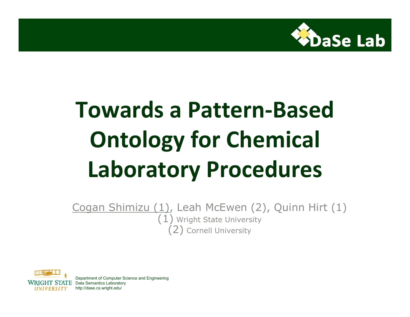

## **Towards a Pattern-Based Ontology for Chemical Laboratory Procedures**

Cogan Shimizu (1), Leah McEwen (2), Quinn Hirt (1)  $(1)$  Wright State University (2) Cornell University



Department of Computer Science and Engineering STATE Data Semantics Laboratory http://dase.cs.wright.edu/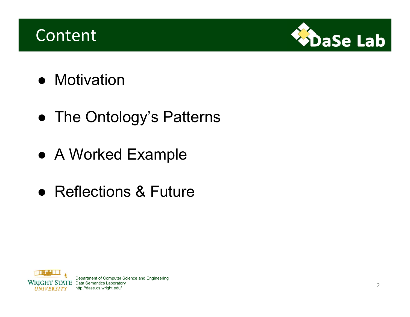### **Content**



- Motivation
- The Ontology's Patterns
- A Worked Example
- Reflections & Future



Department of Computer Science and Engineering **STATE** Data Semantics Laboratory http://dase.cs.wright.edu/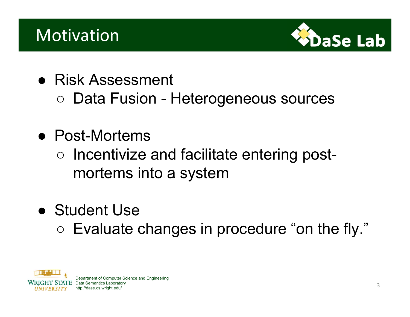### Motivation



- Risk Assessment
	- Data Fusion Heterogeneous sources
- Post-Mortems
	- Incentivize and facilitate entering postmortems into a system
- Student Use
	- Evaluate changes in procedure "on the fly."



Department of Computer Science and Engineering  $\operatorname{ATE}_{\cdot}$  Data Semantics Laboratory http://dase.cs.wright.edu/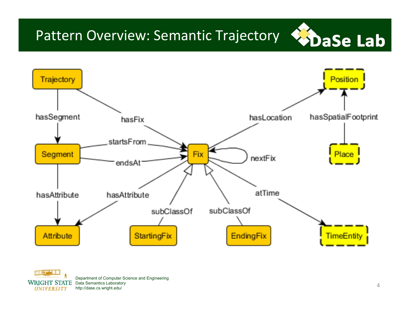## Pattern Overview: Semantic Trajectory ChaSe Lab





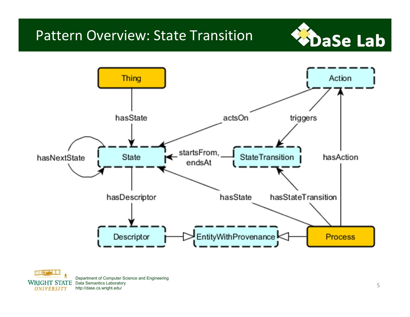#### Pattern Overview: State Transition





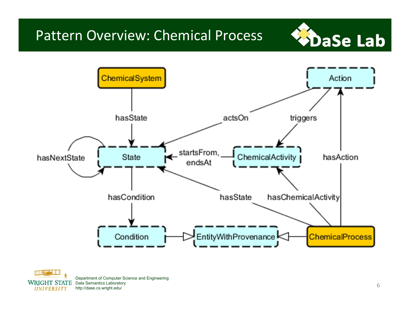#### Pattern Overview: Chemical Process





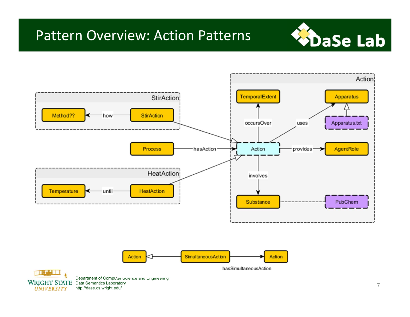#### Pattern Overview: Action Patterns







Department of Computer Science and Engineering **WRIGHT STATE** Data Semantics Laboratory http://dase.cs.wright.edu/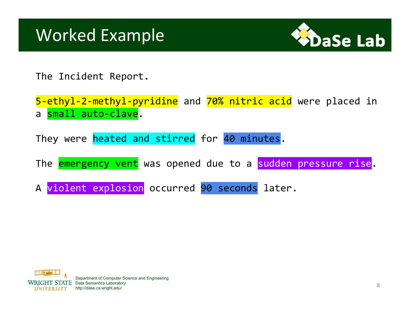

The Incident Report.

5-ethyl-2-methyl-pyridine and 70% nitric acid were placed in a small auto-clave.

They were heated and stirred for 40 minutes.

The **emergency vent** was opened due to a sudden pressure rise.

A violent explosion occurred 90 seconds later.

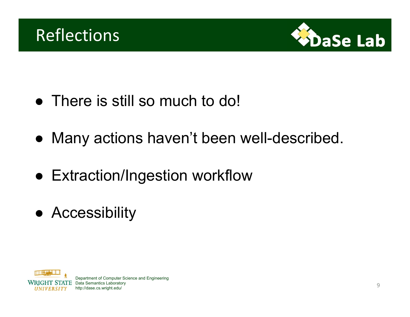



- There is still so much to do!
- Many actions haven't been well-described.
- Extraction/Ingestion workflow
- Accessibility